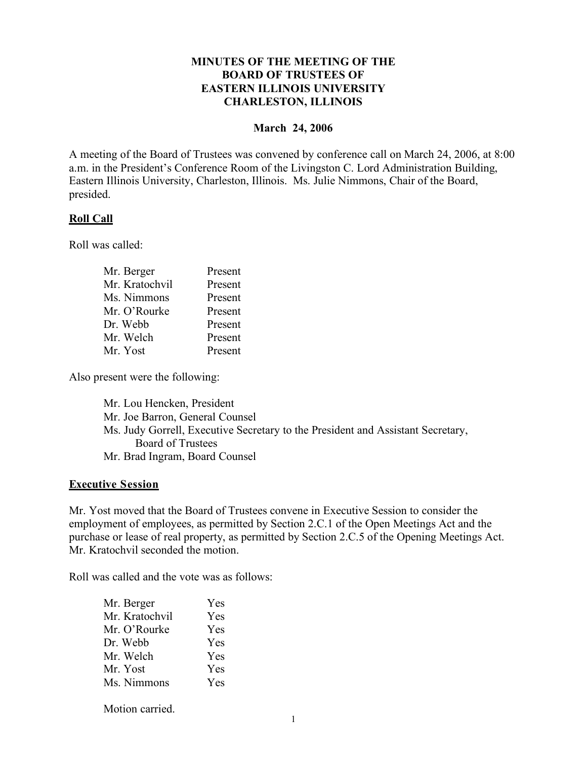# **MINUTES OF THE MEETING OF THE BOARD OF TRUSTEES OF EASTERN ILLINOIS UNIVERSITY CHARLESTON, ILLINOIS**

#### **March 24, 2006**

A meeting of the Board of Trustees was convened by conference call on March 24, 2006, at 8:00 a.m. in the President's Conference Room of the Livingston C. Lord Administration Building, Eastern Illinois University, Charleston, Illinois. Ms. Julie Nimmons, Chair of the Board, presided.

### **Roll Call**

Roll was called:

| Mr. Berger     | Present |
|----------------|---------|
| Mr. Kratochvil | Present |
| Ms. Nimmons    | Present |
| Mr. O'Rourke   | Present |
| Dr. Webb       | Present |
| Mr. Welch      | Present |
| Mr. Yost       | Present |
|                |         |

Also present were the following:

Mr. Lou Hencken, President Mr. Joe Barron, General Counsel Ms. Judy Gorrell, Executive Secretary to the President and Assistant Secretary, Board of Trustees Mr. Brad Ingram, Board Counsel

### **Executive Session**

Mr. Yost moved that the Board of Trustees convene in Executive Session to consider the employment of employees, as permitted by Section 2.C.1 of the Open Meetings Act and the purchase or lease of real property, as permitted by Section 2.C.5 of the Opening Meetings Act. Mr. Kratochvil seconded the motion.

Roll was called and the vote was as follows:

| Mr. Berger     | <b>Yes</b> |
|----------------|------------|
| Mr. Kratochvil | Yes        |
| Mr. O'Rourke   | Yes        |
| Dr. Webb       | Yes        |
| Mr. Welch      | Yes        |
| Mr. Yost       | Yes        |
| Ms. Nimmons    | Yes        |
|                |            |

Motion carried.